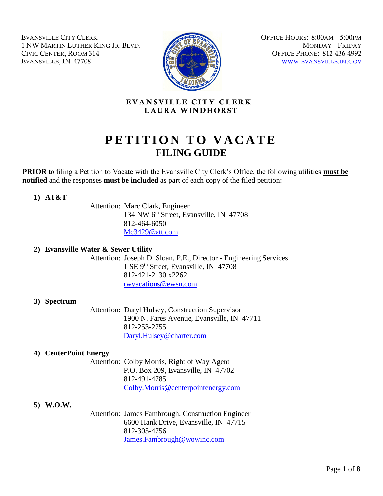EVANSVILLE CITY CLERK 1 NW MARTIN LUTHER KING JR. BLVD. CIVIC CENTER, ROOM 314 EVANSVILLE, IN 47708



OFFICE HOURS: 8:00AM – 5:00PM MONDAY – FRIDAY OFFICE PHONE: 812-436-4992 WWW.EVANSVILLE.IN.GOV

# EVANSVILLE CITY CLERK LAURA WINDHORST

# **PETITION TO VACATE FILING GUIDE**

**PRIOR** to filing a Petition to Vacate with the Evansville City Clerk's Office, the following utilities **must be notified** and the responses **must be included** as part of each copy of the filed petition:

**1) AT&T**

Attention: Marc Clark, Engineer 134 NW 6th Street, Evansville, IN 47708 812-464-6050 [Mc3429@att.com](mailto:Mc3429@att.com)

#### **2) Evansville Water & Sewer Utility**

Attention: Joseph D. Sloan, P.E., Director - Engineering Services 1 SE 9th Street, Evansville, IN 47708 812-421-2130 x2262 [rwvacations@ewsu.com](mailto:rwvacations@ewsu.com)

#### **3) Spectrum**

Attention: Daryl Hulsey, Construction Supervisor 1900 N. Fares Avenue, Evansville, IN 47711 812-253-2755 [Daryl.Hulsey@charter.com](mailto:Daryl.Hulsey@charter.com) 

#### **4) CenterPoint Energy**

Attention: Colby Morris, Right of Way Agent P.O. Box 209, Evansville, IN 47702 812-491-4785 [Colby.Morris@centerpointenergy.com](mailto:Colby.Morris@centerpointenergy.com)

#### **5) W.O.W.**

Attention: James Fambrough, Construction Engineer 6600 Hank Drive, Evansville, IN 47715 812-305-4756 [James.Fambrough@wowinc.com](mailto:James.Fambrough@wowinc.com)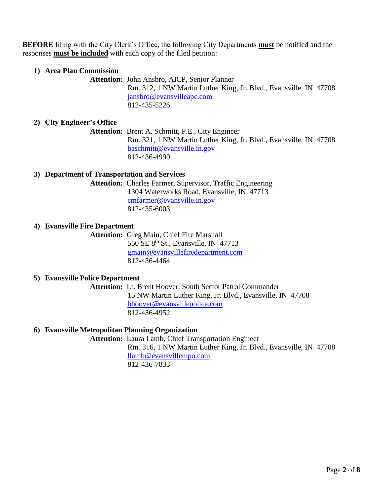**BEFORE** filing with the City Clerk's Office, the following City Departments **must** be notified and the responses **must be included** with each copy of the filed petition:

## **1) Area Plan Commission**

**Attention:** John Ansbro, AICP, Senior Planner Rm. 312, 1 NW Martin Luther King, Jr. Blvd., Evansville, IN 47708 [jansbro@evansvilleapc.com](mailto:jansbro@evansvilleapc.com) 812-435-5226

# **2) City Engineer's Office**

**Attention:** Brent A. Schmitt, P.E., City Engineer Rm. 321, 1 NW Martin Luther King, Jr. Blvd., Evansville, IN 47708 [baschmitt@evansville.in.gov](mailto:baschmitt@evansville.in.gov) 812-436-4990

#### **3) Department of Transportation and Services**

**Attention:** Charles Farmer, Supervisor, Traffic Engineering 1304 Waterworks Road, Evansville, IN 47713 [cmfarmer@evansville.in.gov](mailto:cmfarmer@evansville.in.gov) 812-435-6003

#### **4) Evansville Fire Department**

**Attention:** Greg Main, Chief Fire Marshall 550 SE 8<sup>th</sup> St., Evansville, IN 47713 [gmain@evansvillefiredepartment.com](mailto:gmain@evansvillefiredepartment.com) 812-436-4464

#### **5) Evansville Police Department**

**Attention:** Lt. Brent Hoover, South Sector Patrol Commander 15 NW Martin Luther King, Jr. Blvd., Evansville, IN 47708 [bhoover@evansvillepolice.com](mailto:bhoover@evansvillepolice.com) 812-436-4952

## **6) Evansville Metropolitan Planning Organization**

**Attention:** Laura Lamb, Chief Transportation Engineer Rm. 316, 1 NW Martin Luther King, Jr. Blvd., Evansville, IN 47708 [llamb@evansvillempo.com](mailto:llamb@evansvillempo.com) 812-436-7833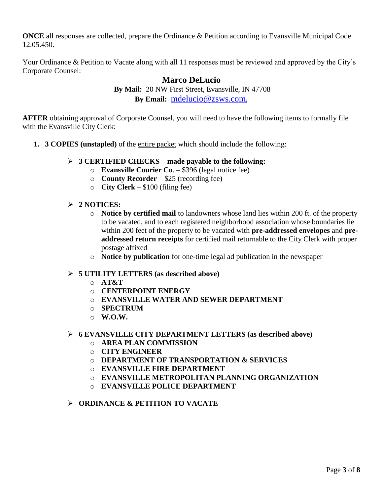**ONCE** all responses are collected, prepare the Ordinance & Petition according to Evansville Municipal Code 12.05.450.

Your Ordinance & Petition to Vacate along with all 11 responses must be reviewed and approved by the City's Corporate Counsel:

# **Marco DeLucio By Mail:** 20 NW First Street, Evansville, IN 47708 **By Email:** [mdelucio@zsws.com,](mailto:mdelucio@zsws.com)

**AFTER** obtaining approval of Corporate Counsel, you will need to have the following items to formally file with the Evansville City Clerk:

- **1. 3 COPIES (unstapled)** of the entire packet which should include the following:
	- ➢ **3 CERTIFIED CHECKS – made payable to the following:**
		- o **Evansville Courier Co**. \$396 (legal notice fee)
		- o **County Recorder** \$25 (recording fee)
		- o **City Clerk** \$100 (filing fee)

## ➢ **2 NOTICES:**

- o **Notice by certified mail** to landowners whose land lies within 200 ft. of the property to be vacated, and to each registered neighborhood association whose boundaries lie within 200 feet of the property to be vacated with **pre-addressed envelopes** and **preaddressed return receipts** for certified mail returnable to the City Clerk with proper postage affixed
- o **Notice by publication** for one-time legal ad publication in the newspaper

#### ➢ **5 UTILITY LETTERS (as described above)**

- o **AT&T**
- o **CENTERPOINT ENERGY**
- o **EVANSVILLE WATER AND SEWER DEPARTMENT**
- o **SPECTRUM**
- o **W.O.W.**

#### ➢ **6 EVANSVILLE CITY DEPARTMENT LETTERS (as described above)**

- o **AREA PLAN COMMISSION**
- o **CITY ENGINEER**
- o **DEPARTMENT OF TRANSPORTATION & SERVICES**
- o **EVANSVILLE FIRE DEPARTMENT**
- o **EVANSVILLE METROPOLITAN PLANNING ORGANIZATION**
- o **EVANSVILLE POLICE DEPARTMENT**

### ➢ **ORDINANCE & PETITION TO VACATE**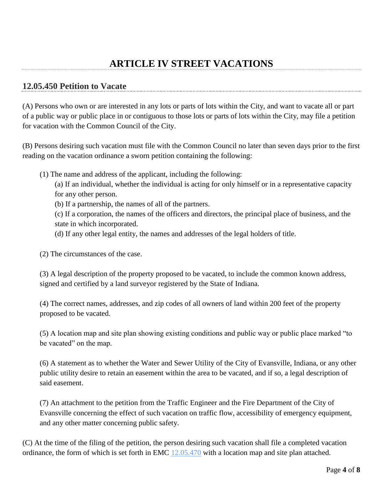# **12.05.450 Petition to Vacate**

(A) Persons who own or are interested in any lots or parts of lots within the City, and want to vacate all or part of a public way or public place in or contiguous to those lots or parts of lots within the City, may file a petition for vacation with the Common Council of the City.

(B) Persons desiring such vacation must file with the Common Council no later than seven days prior to the first reading on the vacation ordinance a sworn petition containing the following:

(1) The name and address of the applicant, including the following:

(a) If an individual, whether the individual is acting for only himself or in a representative capacity for any other person.

(b) If a partnership, the names of all of the partners.

(c) If a corporation, the names of the officers and directors, the principal place of business, and the state in which incorporated.

(d) If any other legal entity, the names and addresses of the legal holders of title.

(2) The circumstances of the case.

(3) A legal description of the property proposed to be vacated, to include the common known address, signed and certified by a land surveyor registered by the State of Indiana.

(4) The correct names, addresses, and zip codes of all owners of land within 200 feet of the property proposed to be vacated.

(5) A location map and site plan showing existing conditions and public way or public place marked "to be vacated" on the map.

(6) A statement as to whether the Water and Sewer Utility of the City of Evansville, Indiana, or any other public utility desire to retain an easement within the area to be vacated, and if so, a legal description of said easement.

(7) An attachment to the petition from the Traffic Engineer and the Fire Department of the City of Evansville concerning the effect of such vacation on traffic flow, accessibility of emergency equipment, and any other matter concerning public safety.

(C) At the time of the filing of the petition, the person desiring such vacation shall file a completed vacation ordinance, the form of which is set forth in EMC [12.05.470](http://www.codepublishing.com/in/evansville/html/Evansville12/Evansville1205.html#12.05.470) with a location map and site plan attached.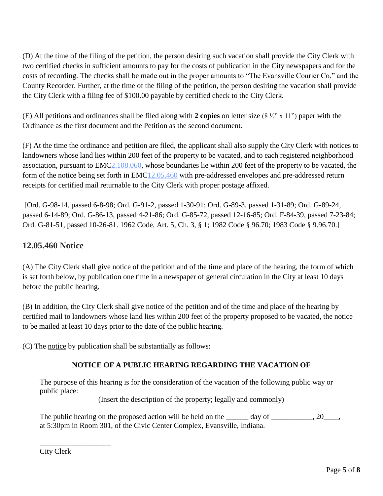(D) At the time of the filing of the petition, the person desiring such vacation shall provide the City Clerk with two certified checks in sufficient amounts to pay for the costs of publication in the City newspapers and for the costs of recording. The checks shall be made out in the proper amounts to "The Evansville Courier Co." and the County Recorder. Further, at the time of the filing of the petition, the person desiring the vacation shall provide the City Clerk with a filing fee of \$100.00 payable by certified check to the City Clerk.

(E) All petitions and ordinances shall be filed along with **2 copies** on letter size (8 ½" x 11") paper with the Ordinance as the first document and the Petition as the second document.

(F) At the time the ordinance and petition are filed, the applicant shall also supply the City Clerk with notices to landowners whose land lies within 200 feet of the property to be vacated, and to each registered neighborhood association, pursuant to EM[C2.108.060,](http://www.codepublishing.com/in/evansville/html/Evansville02/Evansville02108.html#2.108.060) whose boundaries lie within 200 feet of the property to be vacated, the form of the notice being set forth in EM[C12.05.460](http://www.codepublishing.com/in/evansville/html/Evansville12/Evansville1205.html#12.05.460) with pre-addressed envelopes and pre-addressed return receipts for certified mail returnable to the City Clerk with proper postage affixed.

[Ord. G-98-14, passed 6-8-98; Ord. G-91-2, passed 1-30-91; Ord. G-89-3, passed 1-31-89; Ord. G-89-24, passed 6-14-89; Ord. G-86-13, passed 4-21-86; Ord. G-85-72, passed 12-16-85; Ord. F-84-39, passed 7-23-84; Ord. G-81-51, passed 10-26-81. 1962 Code, Art. 5, Ch. 3, § 1; 1982 Code § 96.70; 1983 Code § 9.96.70.]

# **12.05.460 Notice**

(A) The City Clerk shall give notice of the petition and of the time and place of the hearing, the form of which is set forth below, by publication one time in a newspaper of general circulation in the City at least 10 days before the public hearing.

(B) In addition, the City Clerk shall give notice of the petition and of the time and place of the hearing by certified mail to landowners whose land lies within 200 feet of the property proposed to be vacated, the notice to be mailed at least 10 days prior to the date of the public hearing.

(C) The notice by publication shall be substantially as follows:

# **NOTICE OF A PUBLIC HEARING REGARDING THE VACATION OF**

The purpose of this hearing is for the consideration of the vacation of the following public way or public place:

(Insert the description of the property; legally and commonly)

The public hearing on the proposed action will be held on the \_\_\_\_\_\_ day of \_\_\_\_\_\_\_\_\_, 20\_\_\_, at 5:30pm in Room 301, of the Civic Center Complex, Evansville, Indiana.

\_\_\_\_\_\_\_\_\_\_\_\_\_\_\_\_\_\_\_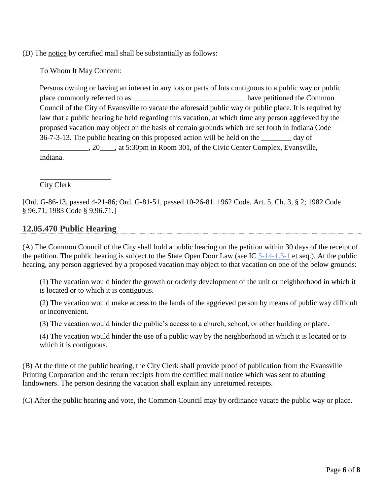(D) The notice by certified mail shall be substantially as follows:

To Whom It May Concern:

Persons owning or having an interest in any lots or parts of lots contiguous to a public way or public place commonly referred to as \_\_\_\_\_\_\_\_\_\_\_\_\_\_\_\_\_\_\_\_\_\_\_\_\_\_\_\_\_\_ have petitioned the Common Council of the City of Evansville to vacate the aforesaid public way or public place. It is required by law that a public hearing be held regarding this vacation, at which time any person aggrieved by the proposed vacation may object on the basis of certain grounds which are set forth in Indiana Code 36-7-3-13. The public hearing on this proposed action will be held on the \_\_\_\_\_\_\_\_ day of \_\_\_\_\_\_\_\_\_\_\_\_\_, 20\_\_\_\_, at 5:30pm in Room 301, of the Civic Center Complex, Evansville, Indiana.

City Clerk

[Ord. G-86-13, passed 4-21-86; Ord. G-81-51, passed 10-26-81. 1962 Code, Art. 5, Ch. 3, § 2; 1982 Code § 96.71; 1983 Code § 9.96.71.]

# **12.05.470 Public Hearing**

\_\_\_\_\_\_\_\_\_\_\_\_\_\_\_\_\_\_\_

(A) The Common Council of the City shall hold a public hearing on the petition within 30 days of the receipt of the petition. The public hearing is subject to the State Open Door Law (see IC [5-14-1.5-1](http://www.codepublishing.com/cgi-bin/ic.pl?cite=5-14-1.5-1) et seq.). At the public hearing, any person aggrieved by a proposed vacation may object to that vacation on one of the below grounds:

(1) The vacation would hinder the growth or orderly development of the unit or neighborhood in which it is located or to which it is contiguous.

(2) The vacation would make access to the lands of the aggrieved person by means of public way difficult or inconvenient.

(3) The vacation would hinder the public's access to a church, school, or other building or place.

(4) The vacation would hinder the use of a public way by the neighborhood in which it is located or to which it is contiguous.

(B) At the time of the public hearing, the City Clerk shall provide proof of publication from the Evansville Printing Corporation and the return receipts from the certified mail notice which was sent to abutting landowners. The person desiring the vacation shall explain any unreturned receipts.

(C) After the public hearing and vote, the Common Council may by ordinance vacate the public way or place.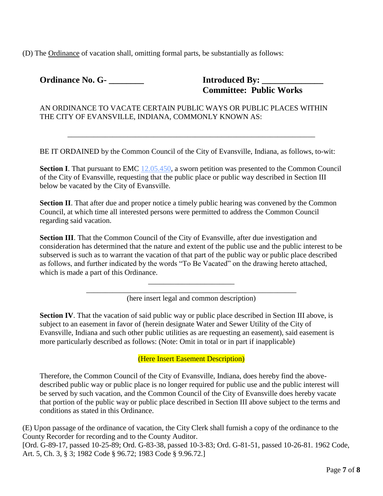(D) The Ordinance of vacation shall, omitting formal parts, be substantially as follows:

**Ordinance No. G- \_\_\_\_\_\_\_\_ Introduced By: \_\_\_\_\_\_\_\_\_\_\_\_\_\_**

 **Committee: Public Works**

AN ORDINANCE TO VACATE CERTAIN PUBLIC WAYS OR PUBLIC PLACES WITHIN THE CITY OF EVANSVILLE, INDIANA, COMMONLY KNOWN AS:

BE IT ORDAINED by the Common Council of the City of Evansville, Indiana, as follows, to-wit:

\_\_\_\_\_\_\_\_\_\_\_\_\_\_\_\_\_\_\_\_\_\_\_\_\_\_\_\_\_\_\_\_\_\_\_\_\_\_\_\_\_\_\_\_\_\_\_\_\_\_\_\_\_\_\_\_\_\_\_\_\_\_\_\_\_\_

**Section I**. That pursuant to EMC [12.05.450,](http://www.codepublishing.com/in/evansville/html/Evansville12/Evansville1205.html#12.05.450) a sworn petition was presented to the Common Council of the City of Evansville, requesting that the public place or public way described in Section III below be vacated by the City of Evansville.

**Section II**. That after due and proper notice a timely public hearing was convened by the Common Council, at which time all interested persons were permitted to address the Common Council regarding said vacation.

**Section III**. That the Common Council of the City of Evansville, after due investigation and consideration has determined that the nature and extent of the public use and the public interest to be subserved is such as to warrant the vacation of that part of the public way or public place described as follows, and further indicated by the words "To Be Vacated" on the drawing hereto attached, which is made a part of this Ordinance.

> \_\_\_\_\_\_\_\_\_\_\_\_\_\_\_\_\_\_\_\_\_\_\_\_\_\_\_\_\_\_\_\_\_\_\_\_\_\_\_\_\_\_\_\_\_\_\_\_\_\_\_\_\_\_\_\_ (here insert legal and common description)

\_\_\_\_\_\_\_\_\_\_\_\_\_\_\_\_\_\_\_\_\_\_\_

**Section IV**. That the vacation of said public way or public place described in Section III above, is subject to an easement in favor of (herein designate Water and Sewer Utility of the City of Evansville, Indiana and such other public utilities as are requesting an easement), said easement is more particularly described as follows: (Note: Omit in total or in part if inapplicable)

(Here Insert Easement Description)

Therefore, the Common Council of the City of Evansville, Indiana, does hereby find the abovedescribed public way or public place is no longer required for public use and the public interest will be served by such vacation, and the Common Council of the City of Evansville does hereby vacate that portion of the public way or public place described in Section III above subject to the terms and conditions as stated in this Ordinance.

(E) Upon passage of the ordinance of vacation, the City Clerk shall furnish a copy of the ordinance to the County Recorder for recording and to the County Auditor.

[Ord. G-89-17, passed 10-25-89; Ord. G-83-38, passed 10-3-83; Ord. G-81-51, passed 10-26-81. 1962 Code, Art. 5, Ch. 3, § 3; 1982 Code § 96.72; 1983 Code § 9.96.72.]